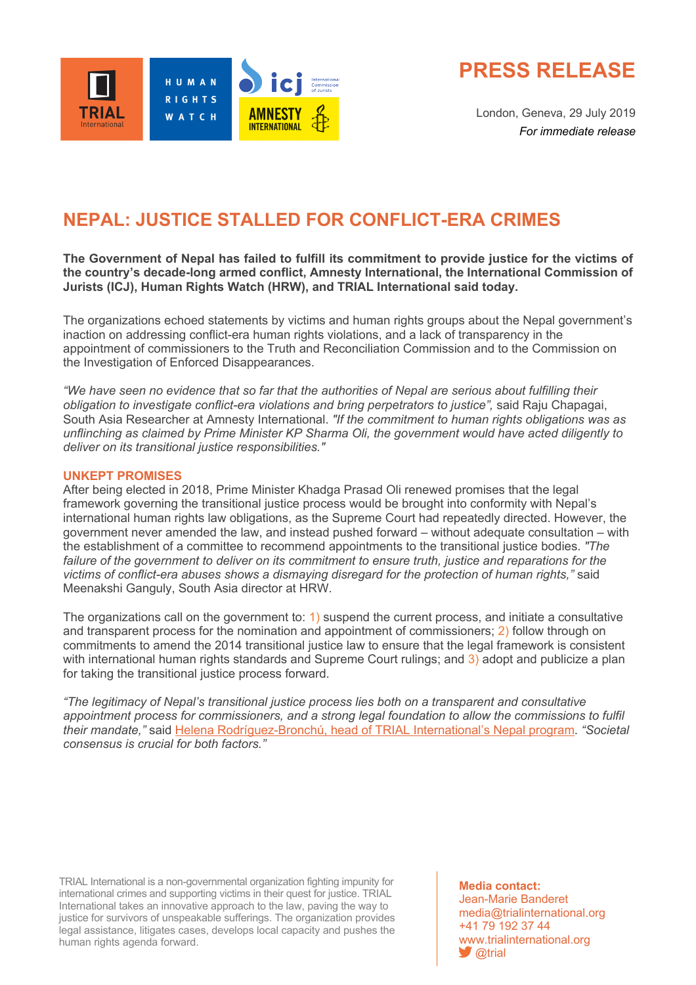

**PRESS RELEASE**

London, Geneva, 29 July 2019 *For immediate release*

# **NEPAL: JUSTICE STALLED FOR CONFLICT-ERA CRIMES**

## **The Government of Nepal has failed to fulfill its commitment to provide justice for the victims of the country's decade-long armed conflict, Amnesty International, the International Commission of Jurists (ICJ), Human Rights Watch (HRW), and TRIAL International said today.**

The organizations echoed statements by victims and human rights groups about the Nepal government's inaction on addressing conflict-era human rights violations, and a lack of transparency in the appointment of commissioners to the Truth and Reconciliation Commission and to the Commission on the Investigation of Enforced Disappearances.

*"We have seen no evidence that so far that the authorities of Nepal are serious about fulfilling their obligation to investigate conflict-era violations and bring perpetrators to justice",* said Raju Chapagai, South Asia Researcher at Amnesty International. *"If the commitment to human rights obligations was as unflinching as claimed by Prime Minister KP Sharma Oli, the government would have acted diligently to deliver on its transitional justice responsibilities."*

### **UNKEPT PROMISES**

After being elected in 2018, Prime Minister Khadga Prasad Oli renewed promises that the legal framework governing the transitional justice process would be brought into conformity with Nepal's international human rights law obligations, as the Supreme Court had repeatedly directed. However, the government never amended the law, and instead pushed forward – without adequate consultation – with the establishment of a committee to recommend appointments to the transitional justice bodies. *"The failure of the government to deliver on its commitment to ensure truth, justice and reparations for the victims of conflict-era abuses shows a dismaying disregard for the protection of human rights,"* said Meenakshi Ganguly, South Asia director at HRW.

The organizations call on the government to: 1) suspend the current process, and initiate a consultative and transparent process for the nomination and appointment of commissioners; 2) follow through on commitments to amend the 2014 transitional justice law to ensure that the legal framework is consistent with international human rights standards and Supreme Court rulings; and 3) adopt and publicize a plan for taking the transitional justice process forward.

*"The legitimacy of Nepal's transitional justice process lies both on a transparent and consultative*  appointment process for commissioners, and a strong legal foundation to allow the commissions to fulfil *their mandate,"* said Helena Rodríguez-Bronchú, head of TRIAL International's Nepal program. *"Societal consensus is crucial for both factors."* 

TRIAL International is a non-governmental organization fighting impunity for international crimes and supporting victims in their quest for justice. TRIAL International takes an innovative approach to the law, paving the way to justice for survivors of unspeakable sufferings. The organization provides legal assistance, litigates cases, develops local capacity and pushes the human rights agenda forward.

**Media contact:** Jean-Marie Banderet media@trialinternational.org +41 79 192 37 44 www.trialinternational.org  $\blacktriangleright$  @trial